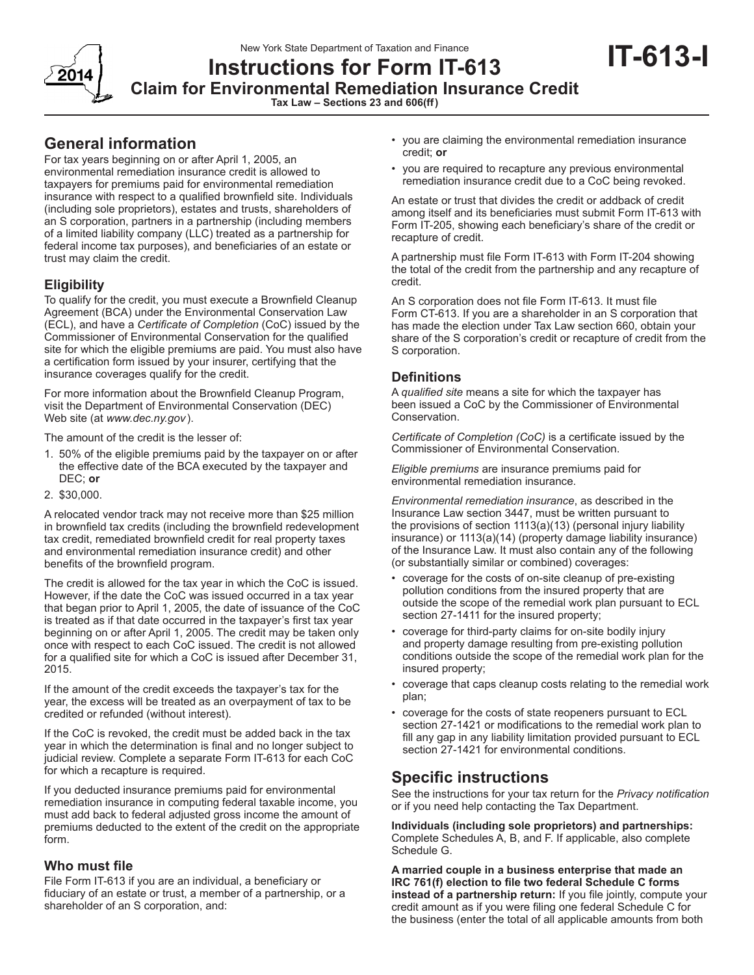New York State Department of Taxation and Finance



# **Instructions for Form IT-613 Claim for Environmental Remediation Insurance Credit**

**Tax Law – Sections 23 and 606(ff)**

# **General information**

For tax years beginning on or after April 1, 2005, an environmental remediation insurance credit is allowed to taxpayers for premiums paid for environmental remediation insurance with respect to a qualified brownfield site. Individuals (including sole proprietors), estates and trusts, shareholders of an S corporation, partners in a partnership (including members of a limited liability company (LLC) treated as a partnership for federal income tax purposes), and beneficiaries of an estate or trust may claim the credit.

# **Eligibility**

To qualify for the credit, you must execute a Brownfield Cleanup Agreement (BCA) under the Environmental Conservation Law (ECL), and have a *Certificate of Completion* (CoC) issued by the Commissioner of Environmental Conservation for the qualified site for which the eligible premiums are paid. You must also have a certification form issued by your insurer, certifying that the insurance coverages qualify for the credit.

For more information about the Brownfield Cleanup Program, visit the Department of Environmental Conservation (DEC) Web site (at *www.dec.ny.gov*).

The amount of the credit is the lesser of:

- 1. 50% of the eligible premiums paid by the taxpayer on or after the effective date of the BCA executed by the taxpayer and DEC; **or**
- 2. \$30,000.

A relocated vendor track may not receive more than \$25 million in brownfield tax credits (including the brownfield redevelopment tax credit, remediated brownfield credit for real property taxes and environmental remediation insurance credit) and other benefits of the brownfield program.

The credit is allowed for the tax year in which the CoC is issued. However, if the date the CoC was issued occurred in a tax year that began prior to April 1, 2005, the date of issuance of the CoC is treated as if that date occurred in the taxpayer's first tax year beginning on or after April 1, 2005. The credit may be taken only once with respect to each CoC issued. The credit is not allowed for a qualified site for which a CoC is issued after December 31, 2015.

If the amount of the credit exceeds the taxpayer's tax for the year, the excess will be treated as an overpayment of tax to be credited or refunded (without interest).

If the CoC is revoked, the credit must be added back in the tax year in which the determination is final and no longer subject to judicial review. Complete a separate Form IT-613 for each CoC for which a recapture is required.

If you deducted insurance premiums paid for environmental remediation insurance in computing federal taxable income, you must add back to federal adjusted gross income the amount of premiums deducted to the extent of the credit on the appropriate form.

### **Who must file**

File Form IT-613 if you are an individual, a beneficiary or fiduciary of an estate or trust, a member of a partnership, or a shareholder of an S corporation, and:

• you are claiming the environmental remediation insurance credit; **or**

**IT-613-I**

• you are required to recapture any previous environmental remediation insurance credit due to a CoC being revoked.

An estate or trust that divides the credit or addback of credit among itself and its beneficiaries must submit Form IT-613 with Form IT-205, showing each beneficiary's share of the credit or recapture of credit.

A partnership must file Form IT-613 with Form IT-204 showing the total of the credit from the partnership and any recapture of credit.

An S corporation does not file Form IT-613. It must file Form CT-613. If you are a shareholder in an S corporation that has made the election under Tax Law section 660, obtain your share of the S corporation's credit or recapture of credit from the S corporation.

# **Definitions**

A *qualified site* means a site for which the taxpayer has been issued a CoC by the Commissioner of Environmental Conservation.

*Certificate of Completion (CoC)* is a certificate issued by the Commissioner of Environmental Conservation.

*Eligible premiums* are insurance premiums paid for environmental remediation insurance.

*Environmental remediation insurance*, as described in the Insurance Law section 3447, must be written pursuant to the provisions of section 1113(a)(13) (personal injury liability insurance) or 1113(a)(14) (property damage liability insurance) of the Insurance Law. It must also contain any of the following (or substantially similar or combined) coverages:

- coverage for the costs of on-site cleanup of pre-existing pollution conditions from the insured property that are outside the scope of the remedial work plan pursuant to ECL section 27-1411 for the insured property;
- coverage for third-party claims for on-site bodily injury and property damage resulting from pre-existing pollution conditions outside the scope of the remedial work plan for the insured property;
- coverage that caps cleanup costs relating to the remedial work plan;
- coverage for the costs of state reopeners pursuant to ECL section 27-1421 or modifications to the remedial work plan to fill any gap in any liability limitation provided pursuant to ECL section 27-1421 for environmental conditions.

# **Specific instructions**

See the instructions for your tax return for the *Privacy notification*  or if you need help contacting the Tax Department.

**Individuals (including sole proprietors) and partnerships:**  Complete Schedules A, B, and F. If applicable, also complete Schedule G.

**A married couple in a business enterprise that made an IRC 761(f) election to file two federal Schedule C forms instead of a partnership return:** If you file jointly, compute your credit amount as if you were filing one federal Schedule C for the business (enter the total of all applicable amounts from both